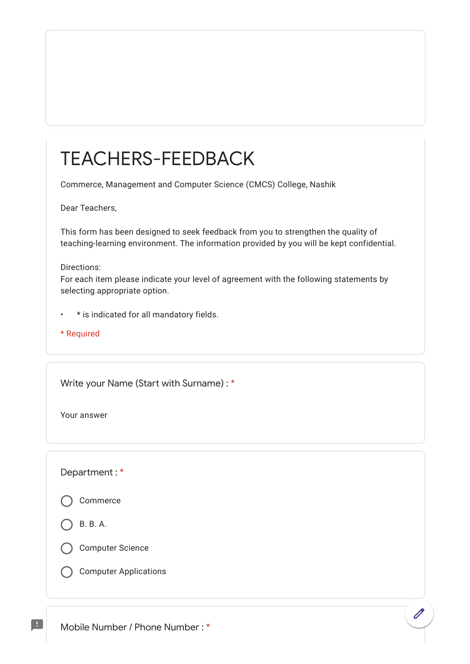## TEACHERS-FEEDBACK

Commerce, Management and Computer Science (CMCS) College, Nashik

Dear Teachers,

This form has been designed to seek feedback from you to strengthen the quality of teaching-learning environment. The information provided by you will be kept confidential.

## Directions:

For each item please indicate your level of agreement with the following statements by selecting appropriate option.

- \* is indicated for all mandatory fields.
- \* Required

Write your Name (Start with Surname) : \*

Your answer

Department : \*

Commerce

B. B. A.

H



Computer Applications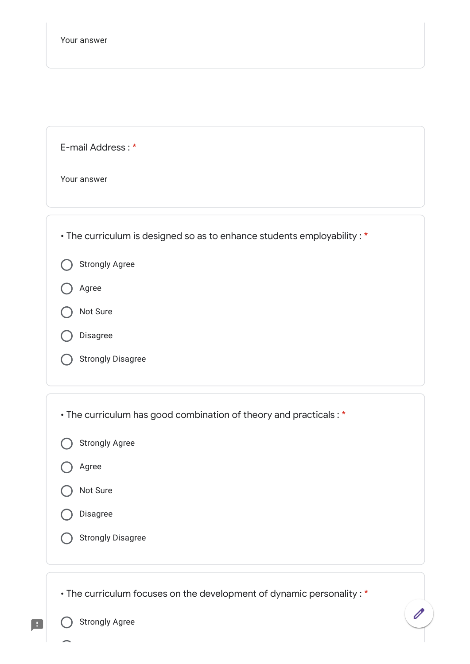| E-mail Address:* |  |  |  |  |  |
|------------------|--|--|--|--|--|
|------------------|--|--|--|--|--|

Your answer

| • The curriculum is designed so as to enhance students employability : * |
|--------------------------------------------------------------------------|
| <b>Strongly Agree</b>                                                    |
| Agree                                                                    |
| Not Sure                                                                 |
| Disagree                                                                 |
| <b>Strongly Disagree</b>                                                 |
|                                                                          |
| • The curriculum has good combination of theory and practicals: *        |
| <b>Strongly Agree</b>                                                    |
| Agree                                                                    |
| Not Sure                                                                 |
| Disagree                                                                 |
| <b>Strongly Disagree</b>                                                 |
|                                                                          |
| • The curriculum focuses on the development of dynamic personality : *   |
| <b>Strongly Agree</b>                                                    |

 $\blacksquare$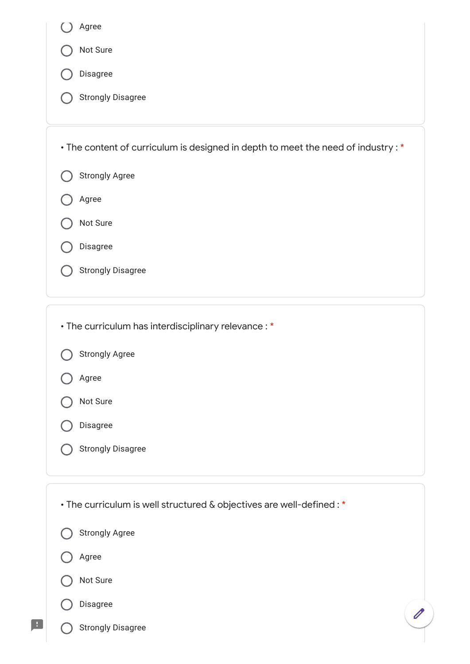| Agree                                                                             |  |  |  |  |
|-----------------------------------------------------------------------------------|--|--|--|--|
| Not Sure                                                                          |  |  |  |  |
| Disagree                                                                          |  |  |  |  |
| <b>Strongly Disagree</b>                                                          |  |  |  |  |
|                                                                                   |  |  |  |  |
| • The content of curriculum is designed in depth to meet the need of industry : * |  |  |  |  |
| <b>Strongly Agree</b>                                                             |  |  |  |  |
| Agree                                                                             |  |  |  |  |
| Not Sure                                                                          |  |  |  |  |
| Disagree                                                                          |  |  |  |  |
| <b>Strongly Disagree</b>                                                          |  |  |  |  |
|                                                                                   |  |  |  |  |
|                                                                                   |  |  |  |  |

• The curriculum has interdisciplinary relevance : \*

|  | <b>Strongly Agree</b> |
|--|-----------------------|
|--|-----------------------|

Agree



|  | Disagree |
|--|----------|
|--|----------|

Strongly Disagree  $\bigcirc$ 

• The curriculum is well structured & objectives are well-defined : \*Strongly Agree Agree Not Sure Disagree  $\overline{\mathscr{O}}$ Strongly Disagree